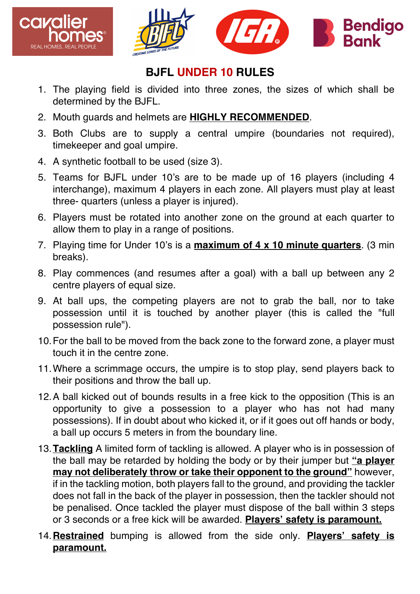



## **BJFL UNDER 10 RULES**

- 1. The playing field is divided into three zones, the sizes of which shall be determined by the BJFL.
- 2. Mouth guards and helmets are **HIGHLY RECOMMENDED**.
- 3. Both Clubs are to supply a central umpire (boundaries not required), timekeeper and goal umpire.
- 4. A synthetic football to be used (size 3).
- 5. Teams for BJFL under 10's are to be made up of 16 players (including 4 interchange), maximum 4 players in each zone. All players must play at least three- quarters (unless a player is injured).
- 6. Players must be rotated into another zone on the ground at each quarter to allow them to play in a range of positions.
- 7. Playing time for Under 10's is a **maximum of 4 x 10 minute quarters**. (3 min breaks).
- 8. Play commences (and resumes after a goal) with a ball up between any 2 centre players of equal size.
- 9. At ball ups, the competing players are not to grab the ball, nor to take possession until it is touched by another player (this is called the "full possession rule").
- 10.For the ball to be moved from the back zone to the forward zone, a player must touch it in the centre zone.
- 11.Where a scrimmage occurs, the umpire is to stop play, send players back to their positions and throw the ball up.
- 12.A ball kicked out of bounds results in a free kick to the opposition (This is an opportunity to give a possession to a player who has not had many possessions). If in doubt about who kicked it, or if it goes out off hands or body, a ball up occurs 5 meters in from the boundary line.
- 13.**Tackling** A limited form of tackling is allowed. A player who is in possession of the ball may be retarded by holding the body or by their jumper but **"a player may not deliberately throw or take their opponent to the ground"** however, if in the tackling motion, both players fall to the ground, and providing the tackler does not fall in the back of the player in possession, then the tackler should not be penalised. Once tackled the player must dispose of the ball within 3 steps or 3 seconds or a free kick will be awarded. **Players' safety is paramount.**
- 14.**Restrained** bumping is allowed from the side only. **Players' safety is paramount.**